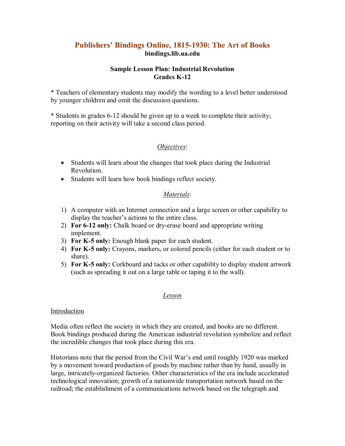# **Publishers' Bindings Online, 18151930: The Art of Books bindings.lib.ua.edu**

## **Sample Lesson Plan: Industrial Revolution Grades K12**

\* Teachers of elementary students may modify the wording to a level better understood by younger children and omit the discussion questions.

\* Students in grades 612 should be given up to a week to complete their activity; reporting on their activity will take a second class period.

# *Objectives*:

- Students will learn about the changes that took place during the Industrial Revolution.
- · Students will learn how book bindings reflect society.

# *Materials*:

- 1) A computer with an Internet connection and a large screen or other capability to display the teacher's actions to the entire class.
- 2) **For 6-12 only:** Chalk board or dry-erase board and appropriate writing implement.
- 3) **For K5 only:** Enough blank paper for each student.
- 4) **For K5 only:** Crayons, markers, or colored pencils (either for each student or to share).
- 5) **For K5 only:** Corkboard and tacks or other capability to display student artwork (such as spreading it out on a large table or taping it to the wall).

## *Lesson*

## Introduction

Media often reflect the society in which they are created, and books are no different. Book bindings produced during the American industrial revolution symbolize and reflect the incredible changes that took place during this era.

Historians note that the period from the Civil War's end until roughly 1920 was marked by a movement toward production of goods by machine rather than by hand, usually in large, intricately-organized factories. Other characteristics of the era include accelerated technological innovation; growth of a nationwide transportation network based on the railroad; the establishment of a communications network based on the telegraph and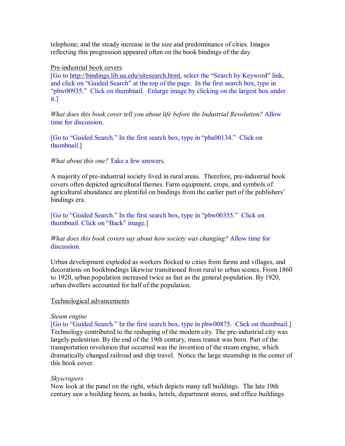telephone; and the steady increase in the size and predominance of cities. Images reflecting this progression appeared often on the book bindings of the day.

#### Pre-industrial book covers

[Go to [http://bindings.lib.ua.edu/sitesearch.html,](http://bindings.lib.ua.edu/sitesearch.html) select the "Search by Keyword" link, and click on "Guided Search" at the top of the page. In the first search box, type in "pbw00935." Click on thumbnail. Enlarge image by clicking on the largest box under it.]

*What does this book cover tell you about life before the Industrial Revolution?* Allow time for discussion.

[Go to "Guided Search." In the first search box, type in "pba00134." Click on thumbnail.]

#### *What about this one?* Take a few answers.

A majority of pre-industrial society lived in rural areas. Therefore, pre-industrial book covers often depicted agricultural themes. Farm equipment, crops, and symbols of agricultural abundance are plentiful on bindings from the earlier part of the publishers' bindings era.

[Go to "Guided Search." In the first search box, type in "pbw00355." Click on thumbnail. Click on "Back" image.]

*What does this book covers say about how society was changing?* Allow time for discussion.

Urban development exploded as workers flocked to cities from farms and villages, and decorations on bookbindings likewise transitioned from rural to urban scenes. From 1860 to 1920, urban population increased twice as fast as the general population. By 1920, urban dwellers accounted for half of the population.

#### Technological advancements

#### *Steam engine*

[Go to "Guided Search." In the first search box, type in pbw00875. Click on thumbnail.] Technology contributed to the reshaping of the modern city. The pre-industrial city was largely pedestrian. By the end of the 19th century, mass transit was born. Part of the transportation revolution that occurred was the invention of the steam engine, which dramatically changed railroad and ship travel. Notice the large steamship in the center of this book cover.

## *Skyscrapers*

Now look at the panel on the right, which depicts many tall buildings. The late 19th century saw a building boom, as banks, hotels, department stores, and office buildings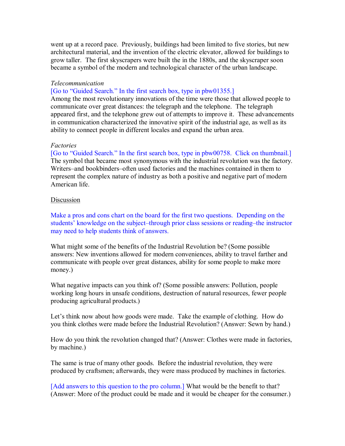went up at a record pace. Previously, buildings had been limited to five stories, but new architectural material, and the invention of the electric elevator, allowed for buildings to grow taller. The first skyscrapers were built the in the 1880s, and the skyscraper soon became a symbol of the modern and technological character of the urban landscape.

#### *Telecommunication*

[Go to "Guided Search." In the first search box, type in pbw01355.]

Among the most revolutionary innovations of the time were those that allowed people to communicate over great distances: the telegraph and the telephone. The telegraph appeared first, and the telephone grew out of attempts to improve it. These advancements in communication characterized the innovative spirit of the industrial age, as well as its ability to connect people in different locales and expand the urban area.

#### *Factories*

[Go to "Guided Search." In the first search box, type in pbw00758. Click on thumbnail.] The symbol that became most synonymous with the industrial revolution was the factory. Writers–and bookbinders–often used factories and the machines contained in them to represent the complex nature of industry as both a positive and negative part of modern American life.

#### **Discussion**

Make a pros and cons chart on the board for the first two questions. Depending on the students' knowledge on the subject–through prior class sessions or reading–the instructor may need to help students think of answers.

What might some of the benefits of the Industrial Revolution be? (Some possible answers: New inventions allowed for modern conveniences, ability to travel farther and communicate with people over great distances, ability for some people to make more money.)

What negative impacts can you think of? (Some possible answers: Pollution, people working long hours in unsafe conditions, destruction of natural resources, fewer people producing agricultural products.)

Let's think now about how goods were made. Take the example of clothing. How do you think clothes were made before the Industrial Revolution? (Answer: Sewn by hand.)

How do you think the revolution changed that? (Answer: Clothes were made in factories, by machine.)

The same is true of many other goods. Before the industrial revolution, they were produced by craftsmen; afterwards, they were mass produced by machines in factories.

[Add answers to this question to the pro column.] What would be the benefit to that? (Answer: More of the product could be made and it would be cheaper for the consumer.)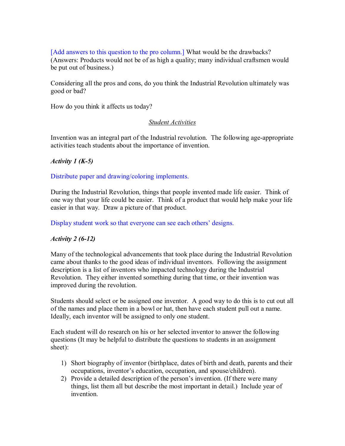[Add answers to this question to the pro column.] What would be the drawbacks? (Answers: Products would not be of as high a quality; many individual craftsmen would be put out of business.)

Considering all the pros and cons, do you think the Industrial Revolution ultimately was good or bad?

How do you think it affects us today?

### *Student Activities*

Invention was an integral part of the Industrial revolution. The following age-appropriate activities teach students about the importance of invention.

### *Activity 1 (K-5)*

Distribute paper and drawing/coloring implements.

During the Industrial Revolution, things that people invented made life easier. Think of one way that your life could be easier. Think of a product that would help make your life easier in that way. Draw a picture of that product.

Display student work so that everyone can see each others' designs.

## *Activity 2 (612)*

Many of the technological advancements that took place during the Industrial Revolution came about thanks to the good ideas of individual inventors. Following the assignment description is a list of inventors who impacted technology during the Industrial Revolution. They either invented something during that time, or their invention was improved during the revolution.

Students should select or be assigned one inventor. A good way to do this is to cut out all of the names and place them in a bowl or hat, then have each student pull out a name. Ideally, each inventor will be assigned to only one student.

Each student will do research on his or her selected inventor to answer the following questions (It may be helpful to distribute the questions to students in an assignment sheet):

- 1) Short biography of inventor (birthplace, dates of birth and death, parents and their occupations, inventor's education, occupation, and spouse/children).
- 2) Provide a detailed description of the person's invention. (If there were many things, list them all but describe the most important in detail.) Include year of invention.